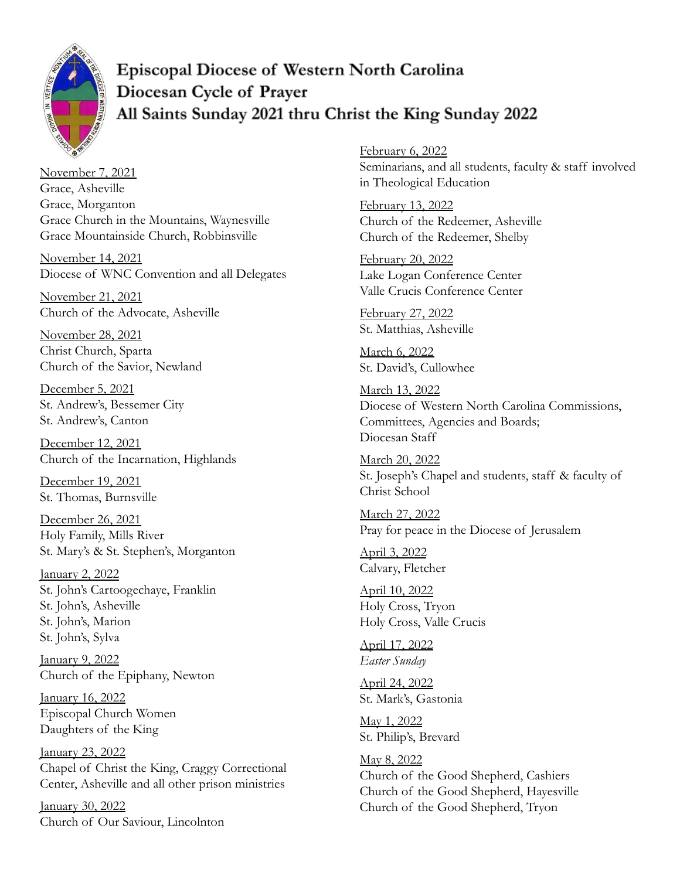

**Episcopal Diocese of Western North Carolina** Diocesan Cycle of Prayer All Saints Sunday 2021 thru Christ the King Sunday 2022

November 7, 2021 Grace, Asheville Grace, Morganton Grace Church in the Mountains, Waynesville Grace Mountainside Church, Robbinsville

November 14, 2021 Diocese of WNC Convention and all Delegates

November 21, 2021 Church of the Advocate, Asheville

November 28, 2021 Christ Church, Sparta Church of the Savior, Newland

December 5, 2021 St. Andrew's, Bessemer City St. Andrew's, Canton

December 12, 2021 Church of the Incarnation, Highlands

December 19, 2021 St. Thomas, Burnsville

December 26, 2021 Holy Family, Mills River St. Mary's & St. Stephen's, Morganton

January 2, 2022 St. John's Cartoogechaye, Franklin St. John's, Asheville St. John's, Marion St. John's, Sylva

January 9, 2022 Church of the Epiphany, Newton

January 16, 2022 Episcopal Church Women Daughters of the King

January 23, 2022 Chapel of Christ the King, Craggy Correctional Center, Asheville and all other prison ministries

January 30, 2022 Church of Our Saviour, Lincolnton February 6, 2022 Seminarians, and all students, faculty & staff involved in Theological Education

February 13, 2022 Church of the Redeemer, Asheville Church of the Redeemer, Shelby

February 20, 2022 Lake Logan Conference Center Valle Crucis Conference Center

February 27, 2022 St. Matthias, Asheville

March 6, 2022 St. David's, Cullowhee

March 13, 2022 Diocese of Western North Carolina Commissions, Committees, Agencies and Boards; Diocesan Staff

March 20, 2022 St. Joseph's Chapel and students, staff & faculty of Christ School

March 27, 2022 Pray for peace in the Diocese of Jerusalem

April 3, 2022 Calvary, Fletcher

April 10, 2022 Holy Cross, Tryon Holy Cross, Valle Crucis

April 17, 2022 *Easter Sunday*

April 24, 2022 St. Mark's, Gastonia

May 1, 2022 St. Philip's, Brevard

May 8, 2022 Church of the Good Shepherd, Cashiers Church of the Good Shepherd, Hayesville Church of the Good Shepherd, Tryon